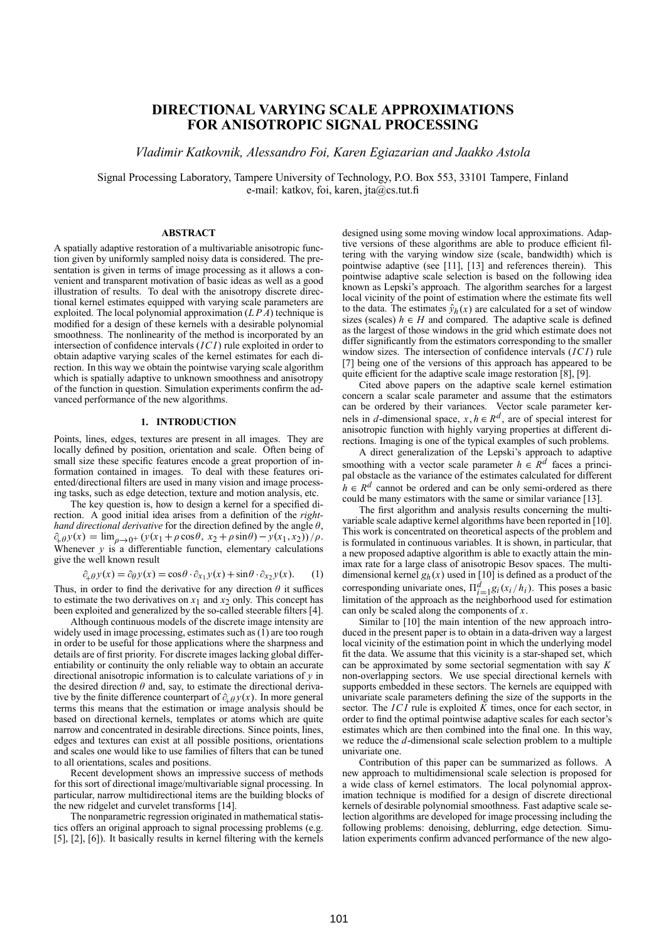# **DIRECTIONAL VARYING SCALE APPROXIMATIONS FOR ANISOTROPIC SIGNAL PROCESSING**

*Vladimir Katkovnik, Alessandro Foi, Karen Egiazarian and Jaakko Astola*

Signal Processing Laboratory, Tampere University of Technology, P.O. Box 553, 33101 Tampere, Finland e-mail: katkov, foi, karen, jta@cs.tut.fi

## **ABSTRACT**

A spatially adaptive restoration of a multivariable anisotropic function given by uniformly sampled noisy data is considered. The presentation is given in terms of image processing as it allows a convenient and transparent motivation of basic ideas as well as a good illustration of results. To deal with the anisotropy discrete directional kernel estimates equipped with varying scale parameters are exploited. The local polynomial approximation  $(LPA)$  technique is modified for a design of these kernels with a desirable polynomial smoothness. The nonlinearity of the method is incorporated by an intersection of confidence intervals (*ICI*) rule exploited in order to obtain adaptive varying scales of the kernel estimates for each direction. In this way we obtain the pointwise varying scale algorithm which is spatially adaptive to unknown smoothness and anisotropy of the function in question. Simulation experiments confirm the advanced performance of the new algorithms.

## **1. INTRODUCTION**

Points, lines, edges, textures are present in all images. They are locally defined by position, orientation and scale. Often being of small size these specific features encode a great proportion of information contained in images. To deal with these features oriented/directional filters are used in many vision and image processing tasks, such as edge detection, texture and motion analysis, etc.

The key question is, how to design a kernel for a specified direction. A good initial idea arises from a definition of the *righthand directional derivative* for the direction defined by the angle θ,  $\partial_{\mu} \partial_{\nu} y(x) = \lim_{\rho \to 0^+} (y(x_1 + \rho \cos \theta, x_2 + \rho \sin \theta) - y(x_1, x_2)) / \rho.$ Whenever  $y$  is a differentiable function, elementary calculations give the well known result

$$
\partial_{+}\rho y(x) = \partial_{\theta} y(x) = \cos\theta \cdot \partial_{x_1} y(x) + \sin\theta \cdot \partial_{x_2} y(x). \tag{1}
$$

Thus, in order to find the derivative for any direction  $\theta$  it suffices to estimate the two derivatives on  $x_1$  and  $x_2$  only. This concept has been exploited and generalized by the so-called steerable filters [4].

Although continuous models of the discrete image intensity are widely used in image processing, estimates such as  $(1)$  are too rough in order to be useful for those applications where the sharpness and details are of first priority. For discrete images lacking global differentiability or continuity the only reliable way to obtain an accurate directional anisotropic information is to calculate variations of *y* in the desired direction  $\theta$  and, say, to estimate the directional derivative by the finite difference counterpart of  $\partial_{+}\rho y(x)$ . In more general terms this means that the estimation or improval englishes should be terms this means that the estimation or image analysis should be based on directional kernels, templates or atoms which are quite narrow and concentrated in desirable directions. Since points, lines, edges and textures can exist at all possible positions, orientations and scales one would like to use families of filters that can be tuned to all orientations, scales and positions.

Recent development shows an impressive success of methods for this sort of directional image/multivariable signal processing. In particular, narrow multidirectional items are the building blocks of the new ridgelet and curvelet transforms [14].

The nonparametric regression originated in mathematical statistics offers an original approach to signal processing problems (e.g. [5], [2], [6]). It basically results in kernel filtering with the kernels designed using some moving window local approximations. Adaptive versions of these algorithms are able to produce efficient filtering with the varying window size (scale, bandwidth) which is pointwise adaptive (see [11], [13] and references therein). This pointwise adaptive scale selection is based on the following idea known as Lepski's approach. The algorithm searches for a largest local vicinity of the point of estimation where the estimate fits well to the data. The estimates  $\hat{y}_h(x)$  are calculated for a set of window sizes (scales)  $h \in H$  and compared. The adaptive scale is defined as the largest of those windows in the grid which estimate does not differ significantly from the estimators corresponding to the smaller window sizes. The intersection of confidence intervals (*ICI*) rule [7] being one of the versions of this approach has appeared to be quite efficient for the adaptive scale image restoration [8], [9].

Cited above papers on the adaptive scale kernel estimation concern a scalar scale parameter and assume that the estimators can be ordered by their variances. Vector scale parameter kernels in *d*-dimensional space,  $x, h \in R^d$ , are of special interest for anisotropic function with highly varying properties at different directions. Imaging is one of the typical examples of such problems.

A direct generalization of the Lepski's approach to adaptive smoothing with a vector scale parameter  $h \in R^d$  faces a principal obstacle as the variance of the estimates calculated for different  $h \in R^d$  cannot be ordered and can be only semi-ordered as there could be many estimators with the same or similar variance [13].

The first algorithm and analysis results concerning the multivariable scale adaptive kernel algorithms have been reported in [10]. This work is concentrated on theoretical aspects of the problem and is formulated in continuous variables. It is shown, in particular, that a new proposed adaptive algorithm is able to exactly attain the minimax rate for a large class of anisotropic Besov spaces. The multidimensional kernel  $g_h(x)$  used in [10] is defined as a product of the corresponding univariate ones,  $\Pi_{i=1}^d g_i(x_i/h_i)$ . This poses a basic<br>limitation of the approach as the paighborhood used for estimation limitation of the approach as the neighborhood used for estimation can only be scaled along the components of *x*.

Similar to [10] the main intention of the new approach introduced in the present paper is to obtain in a data-driven way a largest local vicinity of the estimation point in which the underlying model fit the data. We assume that this vicinity is a star-shaped set, which can be approximated by some sectorial segmentation with say *K* non-overlapping sectors. We use special directional kernels with supports embedded in these sectors. The kernels are equipped with univariate scale parameters defining the size of the supports in the sector. The *ICI* rule is exploited *K* times, once for each sector, in order to find the optimal pointwise adaptive scales for each sector's estimates which are then combined into the final one. In this way, we reduce the *d*-dimensional scale selection problem to a multiple univariate one.

Contribution of this paper can be summarized as follows. A new approach to multidimensional scale selection is proposed for a wide class of kernel estimators. The local polynomial approximation technique is modified for a design of discrete directional kernels of desirable polynomial smoothness. Fast adaptive scale selection algorithms are developed for image processing including the following problems: denoising, deblurring, edge detection. Simulation experiments confirm advanced performance of the new algo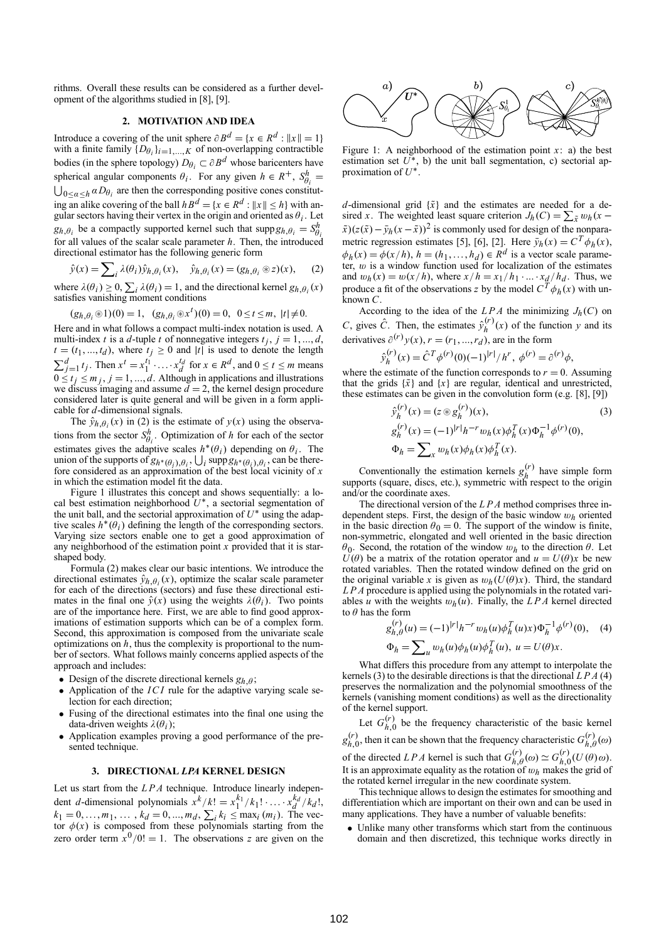rithms. Overall these results can be considered as a further development of the algorithms studied in [8], [9].

## **2. MOTIVATION AND IDEA**

Introduce a covering of the unit sphere  $\partial B^d = \{x \in R^d : ||x|| = 1\}$ with a finite family  $\{D_{\theta_i}\}_{i=1,\dots,K}$  of non-overlapping contractible bodies (in the sphere topology)  $D_{\theta_i} \subset \partial B^d$  whose baricenters have spherical angular components  $\theta_i$ . For any given  $h \in R^+$ ,  $S_{\theta_i}^h$  $\bigcup_{0 \le a \le h} aD_{\theta_i}$  are then the corresponding positive cones constitut-<br>  $\bigcup_{0 \le a \le h} aD_{\theta_i}$  are then the corresponding positive cones constituting an alike covering of the ball  $h B^d = \{x \in R^d : ||x|| \le h\}$  with angular sectors having their vertex in the origin and oriented as  $\theta_i$ . Let  $g_{h,\theta_i}$  be a compactly supported kernel such that  $\text{supp} g_{h,\theta_i} = S_{\theta_i}^h$ for all values of the scalar scale parameter *h*. Then, the introduced directional estimator has the following generic form

$$
\hat{y}(x) = \sum_{i} \lambda(\theta_i) \hat{y}_{h, \theta_i}(x), \quad \hat{y}_{h, \theta_i}(x) = (g_{h, \theta_i} \otimes z)(x), \quad (2)
$$

where  $\lambda(\theta_i) \ge 0$ ,  $\sum_i \lambda(\theta_i) = 1$ , and the directional kernel  $g_{h,\theta_i}(x)$ satisfies vanishing moment conditions

$$
(g_{h,\theta_i} \otimes 1)(0) = 1
$$
,  $(g_{h,\theta_i} \otimes x^t)(0) = 0$ ,  $0 \le t \le m$ ,  $|t| \ne 0$ .

Here and in what follows a compact multi-index notation is used. A multi-index *t* is a *d*-tuple *t* of nonnegative integers  $t_j$ ,  $j = 1, ..., d$ ,  $t = (t_1, ..., t_d)$ , where  $t_j \ge 0$  and  $|t|$  is used to denote the length  $\sum_{j=1}^d t_j$ . Then  $x^t = x_1^{t_1} \cdot ... \cdot x_d^{t_d}$  for  $x \in R^d$ , and  $0 \le t \le m$  means  $0 \le t_j \le m_j$ ,  $j = 1, ..., d$ . Although in applications and illustrations we discuss imaging and assume  $\tilde{d} = 2$ , the kernel design procedure considered later is quite general and will be given in a form applicable for *d*-dimensional signals.

The  $\hat{y}_{h,\theta_i}(x)$  in (2) is the estimate of  $y(x)$  using the observations from the sector  $S_{\theta_i}^h$ . Optimization of *h* for each of the sector estimates gives the adaptive scales  $h^*(\theta_i)$  depending on  $\theta_i$ . The union of the supports of  $g_{h^*(\theta_i), \theta_i}, \bigcup_i \text{supp } g_{h^*(\theta_i), \theta_i}$  can be there-<br>fore considered as an approximation of the best local vicinity of *x* in which the estimation model fit the data.

Figure 1 illustrates this concept and shows sequentially: a local best estimation neighborhood *U*∗, a sectorial segmentation of the unit ball, and the sectorial approximation of  $U^*$  using the adaptive scales  $h^*(\theta_i)$  defining the length of the corresponding sectors. Varying size sectors enable one to get a good approximation of any neighborhood of the estimation point *x* provided that it is starshaped body.

Formula (2) makes clear our basic intentions. We introduce the directional estimates  $\hat{y}_{h,\theta_i}(x)$ , optimize the scalar scale parameter for each of the directions (sectors) and fuse these directional estimates in the final one  $\hat{y}(x)$  using the weights  $\lambda(\theta_i)$ . Two points are of the importance here. First, we are able to find good approximations of estimation supports which can be of a complex form. Second, this approximation is composed from the univariate scale optimizations on *h*, thus the complexity is proportional to the number of sectors. What follows mainly concerns applied aspects of the approach and includes:

- Design of the discrete directional kernels  $g_{h,\theta}$ ;<br>• Application of the *ICI* rule for the adaptive
- Application of the *ICI* rule for the adaptive varying scale selection for each direction;
- Fusing of the directional estimates into the final one using the data-driven weights  $\lambda(\theta_i)$ ;
- Application examples proving a good performance of the presented technique.

#### **3. DIRECTIONAL** *LPA* **KERNEL DESIGN**

Let us start from the *LPA* technique. Introduce linearly independent *d*-dimensional polynomials  $x^k/k! = x_1^{k_1}/k_1! \cdots x_d^{k_d}/k_d!$ ,  $k_1 = 0, \ldots, m_1, \ldots, k_d = 0, \ldots, m_d, \sum_i k_i \le \max_i (m_i)$ . The vector  $\phi(x)$  is composed from these polynomials starting from the zero order term  $x^0/0! = 1$ . The observations *z* are given on the



Figure 1: A neighborhood of the estimation point  $x$ : a) the best estimation set  $U^*$ , b) the unit ball segmentation, c) sectorial approximation of *U*∗.

*d*-dimensional grid  $\{\tilde{x}\}\$  and the estimates are needed for a desired *x*. The weighted least square criterion  $J_h(C) = \sum_{\tilde{x}} w_h(x - \tilde{y}) \tilde{f}(x)$  $\tilde{x}$ )( $z(\tilde{x}) - \bar{y}_h(x - \tilde{x})$ )<sup>2</sup> is commonly used for design of the nonparametric regression estimates [5], [6], [2]. Here  $\bar{y}_h(x) = C^T \phi_h(x)$ ,  $\phi_h(x) = \phi(x/h)$ ,  $h = (h_1, ..., h_d) \in R^d$  is a vector scale parameter, w is a window function used for localization of the estimates and  $w_h(x) = w(x/h)$ , where  $x/h = x_1/h_1 \cdot ... \cdot x_d/h_d$ . Thus, we produce a fit of the observations *z* by the model  $C^T \phi_h(x)$  with unknown *C*.

According to the idea of the  $LPA$  the minimizing  $J_h(C)$  on *C*, gives  $\hat{C}$ . Then, the estimates  $\hat{y}_h^{(r)}(x)$  of the function *y* and its derivatives  $\partial^{(r)} y(x)$ ,  $r = (r_1, ..., r_d)$ , are in the form

$$
\hat{y}_h^{(r)}(x) = \hat{C}^T \phi^{(r)}(0) (-1)^{|r|} / h^r, \ \phi^{(r)} = \partial^{(r)} \phi,
$$

where the estimate of the function corresponds to  $r = 0$ . Assuming that the grids  $\{\tilde{x}\}\$  and  $\{x\}$  are regular, identical and unrestricted, these estimates can be given in the convolution form (e.g. [8], [9])

$$
\hat{y}_h^{(r)}(x) = (z \otimes g_h^{(r)})(x),
$$
\n
$$
g_h^{(r)}(x) = (-1)^{|r|} h^{-r} w_h(x) \phi_h^{T}(x) \Phi_h^{-1} \phi^{(r)}(0),
$$
\n
$$
\Phi_h = \sum_x w_h(x) \phi_h(x) \phi_h^{T}(x).
$$
\n(3)

Conventionally the estimation kernels  $g_h^{(r)}$  have simple form supports (square, discs, etc.), symmetric with respect to the origin and/or the coordinate axes.

The directional version of the *LPA* method comprises three independent steps. First, the design of the basic window w*h* oriented in the basic direction  $\theta_0 = 0$ . The support of the window is finite, non-symmetric, elongated and well oriented in the basic direction θ0. Second, the rotation of the window w*h* to the direction θ. Let  $U(\theta)$  be a matrix of the rotation operator and  $u = U(\theta)x$  be new rotated variables. Then the rotated window defined on the grid on the original variable *x* is given as  $w_h(U(\theta)x)$ . Third, the standard *LPA* procedure is applied using the polynomials in the rotated variables *u* with the weights  $w_h(u)$ . Finally, the *LPA* kernel directed to  $\theta$  has the form

$$
g_{h,\theta}^{(r)}(u) = (-1)^{|r|} h^{-r} w_h(u) \phi_h^{T}(u)x \phi_h^{-1} \phi^{(r)}(0), \quad (4)
$$
  

$$
\Phi_h = \sum_u w_h(u) \phi_h(u) \phi_h^{T}(u), \ u = U(\theta)x.
$$

What differs this procedure from any attempt to interpolate the kernels (3) to the desirable directions is that the directional *LPA* (4) preserves the normalization and the polynomial smoothness of the kernels (vanishing moment conditions) as well as the directionality of the kernel support.

Let  $G_{h,0}^{(r)}$  be the frequency characteristic of the basic kernel  $g_{h,0}^{(r)}$ , then it can be shown that the frequency characteristic  $G_{h,\theta}^{(r)}(\omega)$ of the directed *LPA* kernel is such that  $G_{h,\theta}^{(r)}(\omega) \simeq G_{h,0}^{(r)}(U(\theta)\omega)$ . It is an approximate equality as the rotation of  $w_h$  makes the grid of the rotated kernel irregular in the new coordinate system.

This technique allows to design the estimates for smoothing and differentiation which are important on their own and can be used in many applications. They have a number of valuable benefits:

• Unlike many other transforms which start from the continuous domain and then discretized, this technique works directly in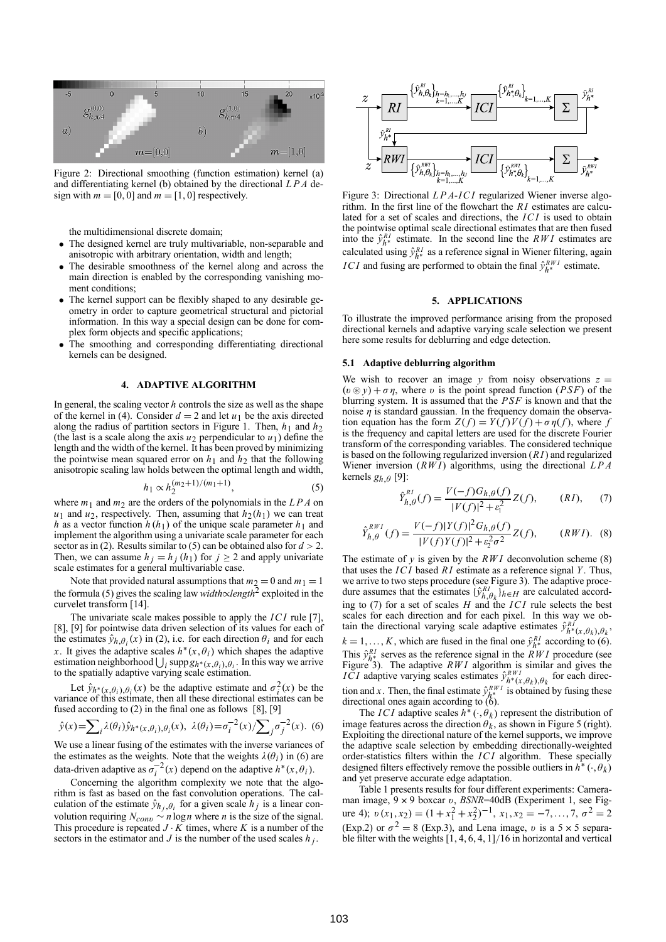

Figure 2: Directional smoothing (function estimation) kernel (a) and differentiating kernel (b) obtained by the directional *LPA* design with  $m = [0, 0]$  and  $m = [1, 0]$  respectively.

the multidimensional discrete domain;

- The designed kernel are truly multivariable, non-separable and anisotropic with arbitrary orientation, width and length;
- The desirable smoothness of the kernel along and across the main direction is enabled by the corresponding vanishing moment conditions;
- The kernel support can be flexibly shaped to any desirable geometry in order to capture geometrical structural and pictorial information. In this way a special design can be done for complex form objects and specific applications;
- The smoothing and corresponding differentiating directional kernels can be designed.

## **4. ADAPTIVE ALGORITHM**

In general, the scaling vector *h* controls the size as well as the shape of the kernel in (4). Consider  $d = 2$  and let  $u_1$  be the axis directed along the radius of partition sectors in Figure 1. Then,  $h_1$  and  $h_2$ (the last is a scale along the axis  $u_2$  perpendicular to  $u_1$ ) define the length and the width of the kernel. It has been proved by minimizing the pointwise mean squared error on  $h_1$  and  $h_2$  that the following anisotropic scaling law holds between the optimal length and width,

$$
h_1 \propto h_2^{(m_2+1)/(m_1+1)},\tag{5}
$$

where  $m_1$  and  $m_2$  are the orders of the polynomials in the  $LPA$  on  $u_1$  and  $u_2$ , respectively. Then, assuming that  $h_2(h_1)$  we can treat *h* as a vector function  $h(h_1)$  of the unique scale parameter  $h_1$  and implement the algorithm using a univariate scale parameter for each sector as in (2). Results similar to (5) can be obtained also for  $d > 2$ . Then, we can assume  $h_j = h_j(h_1)$  for  $j \geq 2$  and apply univariate scale estimates for a general multivariable case.

Note that provided natural assumptions that  $m_2 = 0$  and  $m_1 = 1$ the formula (5) gives the scaling law *width*∝*length*<sup>2</sup> exploited in the curvelet transform [14].

The univariate scale makes possible to apply the *ICI* rule [7], [8], [9] for pointwise data driven selection of its values for each of the estimates  $\hat{y}_{h,\theta_i}(x)$  in (2), i.e. for each direction  $\theta_i$  and for each *x*. It gives the adaptive scales  $h^*(x, \theta_i)$  which shapes the adaptive estimation neighborhood  $\bigcup_i \text{supp} g_{h^*(x, \theta_i), \theta_i}$ . In this way we arrive to the spatially adaptive varying scale estimation.

Let  $\hat{y}_{h^*(x,\theta_i),\theta_i}(x)$  be the adaptive estimate and  $\sigma_i^2(x)$  be the variance of this estimate, then all these directional estimates can be fused according to (2) in the final one as follows [8], [9]

$$
\hat{y}(x) = \sum_{i} \lambda(\theta_i) \hat{y}_{h^*(x,\theta_i),\theta_i}(x), \ \lambda(\theta_i) = \sigma_i^{-2}(x) / \sum_j \sigma_j^{-2}(x).
$$
 (6)

We use a linear fusing of the estimates with the inverse variances of the estimates as the weights. Note that the weights  $\lambda(\theta_i)$  in (6) are data-driven adaptive as  $\sigma_i^{-2}(x)$  depend on the adaptive  $h^*(x, \theta_i)$ .

Concerning the algorithm complexity we note that the algorithm is fast as based on the fast convolution operations. The calculation of the estimate  $\hat{y}_{h_j, \theta_i}$  for a given scale  $h_j$  is a linear convolution requiring  $N_{\text{conv}} \sim n \log n$  where *n* is the size of the signal. This procedure is repeated  $J \cdot K$  times, where  $K$  is a number of the sectors in the estimator and *J* is the number of the used scales  $h_j$ .



Figure 3: Directional *LPA*-*ICI* regularized Wiener inverse algorithm. In the first line of the flowchart the *R I* estimates are calculated for a set of scales and directions, the *ICI* is used to obtain the pointwise optimal scale directional estimates that are then fused into the  $\hat{y}_{h*}^{RI}$  estimate. In the second line the *RWI* estimates are calculated using  $\hat{y}_{h*}^{RI}$  as a reference signal in Wiener filtering, again *ICI* and fusing are performed to obtain the final  $\hat{y}_{h*}^{RWI}$  estimate.

## **5. APPLICATIONS**

To illustrate the improved performance arising from the proposed directional kernels and adaptive varying scale selection we present here some results for deblurring and edge detection.

### **5.1 Adaptive deblurring algorithm**

We wish to recover an image  $y$  from noisy observations  $z =$  $(v \otimes y) + \sigma \eta$ , where v is the point spread function (*PSF*) of the blurring system. It is assumed that the *PSF* is known and that the noise  $\eta$  is standard gaussian. In the frequency domain the observation equation has the form  $Z(f) = Y(f)V(f) + \sigma \eta(f)$ , where f is the frequency and capital letters are used for the discrete Fourier transform of the corresponding variables. The considered technique is based on the following regularized inversion (*R I*) and regularized Wiener inversion (*RW I*) algorithms, using the directional *LPA* kernels  $g_{h,\theta}$  [9]:

$$
\hat{Y}_{h,\theta}^{RI}(f) = \frac{V(-f)G_{h,\theta}(f)}{|V(f)|^2 + \varepsilon_1^2} Z(f), \qquad (RI), \qquad (7)
$$

$$
\hat{Y}_{h,\theta}^{RWI}(f) = \frac{V(-f)|Y(f)|^2 G_{h,\theta}(f)}{|V(f)Y(f)|^2 + \varepsilon_2^2 \sigma^2} Z(f), \qquad (RWI). \tag{8}
$$

The estimate of *y* is given by the *RW I* deconvolution scheme (8) that uses the *ICI* based *R I* estimate as a reference signal *Y*. Thus, we arrive to two steps procedure (see Figure 3). The adaptive procedure assumes that the estimates  ${\{\hat{y}_{h,\theta_k}^{R}}\}_{h \in H}$  are calculated according to  $(7)$  for a set of scales *H* and the *ICI* rule selects the best scales for each direction and for each pixel. In this way we obtain the directional varying scale adaptive estimates  $\hat{y}_{h^*(x,\theta_k),\theta_k}^{RI}$  $k = 1, \ldots, K$ , which are fused in the final one  $\hat{y}_{h^*}^{RI}$  according to (6). This  $\hat{y}_{h^*}^{RI}$  serves as the reference signal in the *RW1* procedure (see Figure 3). The adaptive *RW1* algorithm is similar and gives the *ICI* adaptive varying scales estimates  $\hat{y}_{h^*(x,\theta_k),\theta_k}^{RWI}$  for each direction and *x*. Then, the final estimate  $\hat{y}^{RWI}_{h^*}$  is obtained by fusing these directional ones again according to (6).

The *ICI* adaptive scales  $h^*$  ( $\cdot$ ,  $\theta_k$ ) represent the distribution of image features across the direction  $\theta_k$ , as shown in Figure 5 (right). Exploiting the directional nature of the kernel supports, we improve the adaptive scale selection by embedding directionally-weighted order-statistics filters within the *ICI* algorithm. These specially designed filters effectively remove the possible outliers in  $h^*(\cdot,\theta_k)$ and yet preserve accurate edge adaptation.

Table 1 presents results for four different experiments: Cameraman image,  $9 \times 9$  boxcar v,  $BSNR = 40$ dB (Experiment 1, see Figure 4);  $v(x_1, x_2) = (1 + x_1^2 + x_2^2)^{-1}$ ,  $x_1, x_2 = -7, ..., 7, \sigma^2 = 2$ (Exp.2) or  $\sigma^2 = 8$  (Exp.3), and Lena image, v is a 5 × 5 separable filter with the weights  $\left[1, 4, 6, 4, 1\right]$ /16 in horizontal and vertical